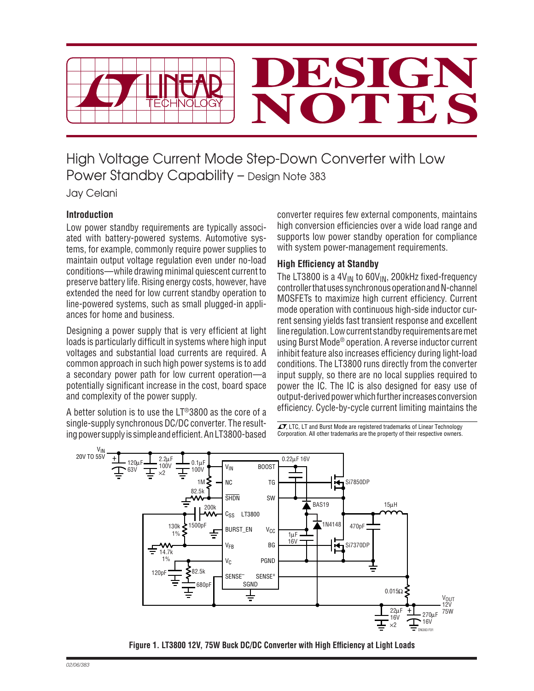

High Voltage Current Mode Step-Down Converter with Low Power Standby Capability – Design Note 383

Jay Celani

## **Introduction**

Low power standby requirements are typically associated with battery-powered systems. Automotive systems, for example, commonly require power supplies to maintain output voltage regulation even under no-load conditions—while drawing minimal quiescent current to preserve battery life. Rising energy costs, however, have extended the need for low current standby operation to line-powered systems, such as small plugged-in appliances for home and business.

Designing a power supply that is very efficient at light loads is particularly difficult in systems where high input voltages and substantial load currents are required. A common approach in such high power systems is to add a secondary power path for low current operation—a potentially significant increase in the cost, board space and complexity of the power supply.

A better solution is to use the LT®3800 as the core of a single-supply synchronous DC/DC converter. The resulting power supply is simple and efficient. An LT3800-based converter requires few external components, maintains high conversion efficiencies over a wide load range and supports low power standby operation for compliance with system power-management requirements.

## **High Efficiency at Standby**

The LT3800 is a  $4V_{IN}$  to  $60V_{IN}$ , 200kHz fixed-frequency controller that uses synchronous operation and N-channel MOSFETs to maximize high current efficiency. Current mode operation with continuous high-side inductor current sensing yields fast transient response and excellent line regulation. Low current standby requirements are met using Burst Mode® operation. A reverse inductor current inhibit feature also increases efficiency during light-load conditions. The LT3800 runs directly from the converter input supply, so there are no local supplies required to power the IC. The IC is also designed for easy use of output-derived power which further increases conversion efficiency. Cycle-by-cycle current limiting maintains the

 $I$ , LTC, LT and Burst Mode are registered trademarks of Linear Technology Corporation. All other trademarks are the property of their respective owners.



Figure 1. LT3800 12V, 75W Buck DC/DC Converter with High Efficiency at Light Loads